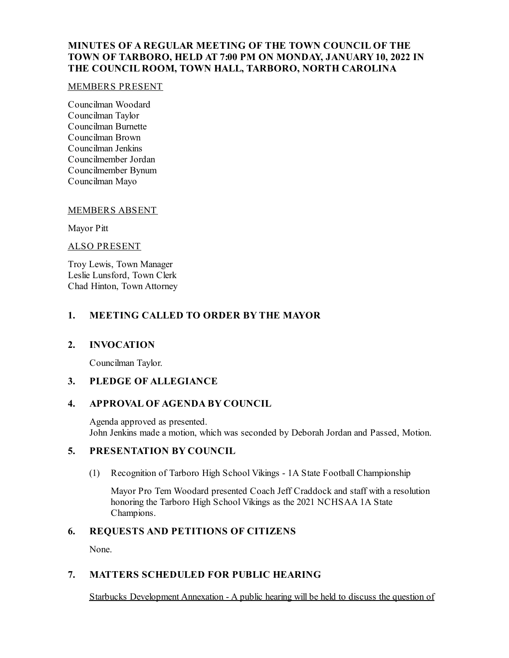# **MINUTES OF A REGULAR MEETING OF THE TOWN COUNCIL OF THE TOWN OF TARBORO, HELD AT 7:00 PM ON MONDAY, JANUARY10, 2022 IN THE COUNCIL ROOM, TOWN HALL, TARBORO, NORTH CAROLINA**

#### MEMBERS PRESENT

Councilman Woodard Councilman Taylor Councilman Burnette Councilman Brown Councilman Jenkins Councilmember Jordan Councilmember Bynum Councilman Mayo

#### MEMBERS ABSENT

Mayor Pitt

#### ALSO PRESENT

Troy Lewis, Town Manager Leslie Lunsford, Town Clerk Chad Hinton, Town Attorney

## **1. MEETING CALLED TO ORDER BY THE MAYOR**

#### **2. INVOCATION**

Councilman Taylor.

## **3. PLEDGE OF ALLEGIANCE**

## **4. APPROVAL OF AGENDA BY COUNCIL**

Agenda approved as presented. John Jenkins made a motion, which was seconded by Deborah Jordan and Passed, Motion.

## **5. PRESENTATION BY COUNCIL**

(1) Recognition of Tarboro High School Vikings - 1A State Football Championship

Mayor Pro Tem Woodard presented Coach Jeff Craddock and staff with a resolution honoring the Tarboro High School Vikings as the 2021 NCHSAA 1A State Champions.

## **6. REQUESTS AND PETITIONS OF CITIZENS**

None.

## **7. MATTERS SCHEDULED FOR PUBLIC HEARING**

Starbucks Development Annexation - A public hearing will be held to discuss the question of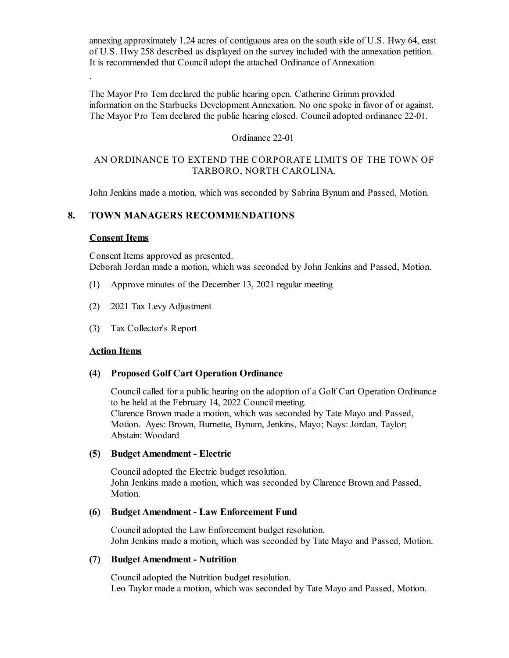annexing approximately 1.24 acres of contiguous area on the south side of U.S. Hwy 64, east of U.S. Hwy 258 described as displayed on the survey included with the annexation petition. It is recommended that Council adopt the attached Ordinance of Annexation

The Mayor Pro Tem declared the public hearing open. Catherine Grimm provided information on the Starbucks Development Annexation. No one spoke in favor of or against. The Mayor Pro Tem declared the public hearing closed. Council adopted ordinance 22-01.

### Ordinance 22-01

### AN ORDINANCE TO EXTEND THE CORPORATE LIMITS OF THE TOWN OF TARBORO, NORTH CAROLINA.

John Jenkins made a motion, which was seconded by Sabrina Bynum and Passed, Motion.

## **8. TOWN MANAGERS RECOMMENDATIONS**

### **Consent Items**

.

Consent Items approved as presented. Deborah Jordan made a motion, which was seconded by John Jenkins and Passed, Motion.

- (1) Approve minutes of the December 13, 2021 regular meeting
- (2) 2021 Tax Levy Adjustment
- (3) Tax Collector's Report

#### **Action Items**

## **(4) Proposed Golf Cart Operation Ordinance**

Council called for a public hearing on the adoption of a Golf Cart Operation Ordinance to be held at the February 14, 2022 Council meeting. Clarence Brown made a motion, which was seconded by Tate Mayo and Passed, Motion. Ayes: Brown, Burnette, Bynum, Jenkins, Mayo; Nays: Jordan, Taylor; Abstain: Woodard

#### **(5) Budget Amendment - Electric**

Counciladopted the Electric budget resolution. John Jenkins made a motion, which was seconded by Clarence Brown and Passed, Motion.

## **(6) Budget Amendment - Law Enforcement Fund**

Counciladopted the Law Enforcement budget resolution. John Jenkins made a motion, which was seconded by Tate Mayo and Passed, Motion.

#### **(7) Budget Amendment - Nutrition**

Counciladopted the Nutrition budget resolution. Leo Taylor made a motion, which was seconded by Tate Mayo and Passed, Motion.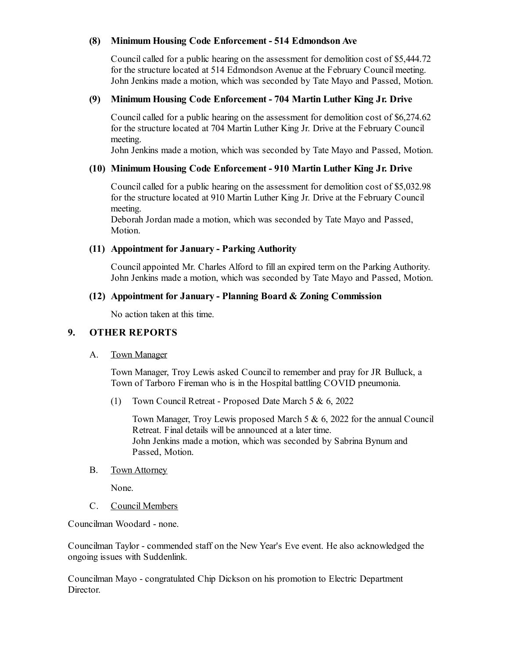## **(8) Minimum Housing Code Enforcement - 514 EdmondsonAve**

Council called for a public hearing on the assessment for demolition cost of \$5,444.72 for the structure located at 514 Edmondson Avenue at the February Council meeting. John Jenkins made a motion, which was seconded by Tate Mayo and Passed, Motion.

## **(9) Minimum Housing Code Enforcement - 704 Martin Luther King Jr. Drive**

Council called for a public hearing on the assessment for demolition cost of \$6,274.62 for the structure located at 704 Martin Luther King Jr. Drive at the February Council meeting.

John Jenkins made a motion, which was seconded by Tate Mayo and Passed, Motion.

## **(10) Minimum Housing Code Enforcement - 910 Martin Luther King Jr. Drive**

Council called for a public hearing on the assessment for demolition cost of \$5,032.98 for the structure located at 910 Martin Luther King Jr. Drive at the February Council meeting.

Deborah Jordan made a motion, which was seconded by Tate Mayo and Passed, Motion.

# **(11) Appointment for January - Parking Authority**

Councilappointed Mr. Charles Alford to fillan expired term on the Parking Authority. John Jenkins made a motion, which was seconded by Tate Mayo and Passed, Motion.

## **(12) Appointment for January - Planning Board & Zoning Commission**

No action taken at this time.

## **9. OTHER REPORTS**

## A. Town Manager

Town Manager, Troy Lewis asked Council to remember and pray for JR Bulluck, a Town of Tarboro Fireman who is in the Hospital battling COVID pneumonia.

(1) Town Council Retreat - Proposed Date March 5 & 6, 2022

Town Manager, Troy Lewis proposed March 5 & 6, 2022 for the annual Council Retreat. Final details will be announced at a later time. John Jenkins made a motion, which was seconded by Sabrina Bynum and Passed, Motion.

B. Town Attorney

None.

C. Council Members

Councilman Woodard - none.

Councilman Taylor - commended staff on the New Year's Eve event. He also acknowledged the ongoing issues with Suddenlink.

Councilman Mayo - congratulated Chip Dickson on his promotion to Electric Department Director.